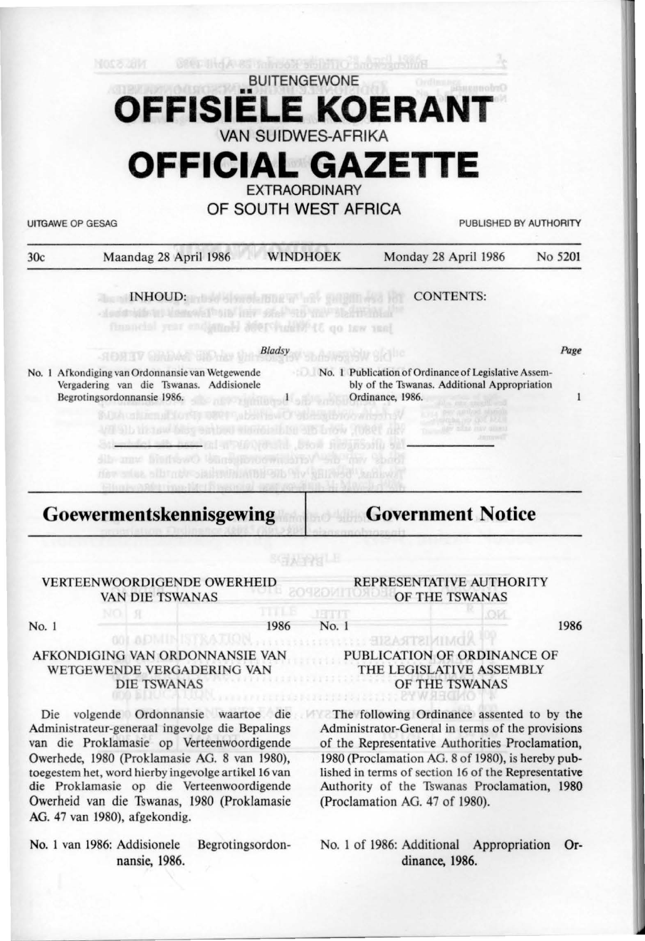## **OFFISIËLE KO KOERAN** VAN SUIDWES-AFRIKA

# **OFFICIAL GAZETTE**

**EXTRAORDINARY** 

OF SOUTH WEST AFRICA

UITGAWE OP GESAG PUBLISHED BY AUTHORITY

| 30c   | Maandag 28 April 1986                                                                                                                                                                                                                                                                                                                                                                           | <b>WINDHOEK</b>           | Monday 28 April 1986                                                                                                                              | No 5201      |
|-------|-------------------------------------------------------------------------------------------------------------------------------------------------------------------------------------------------------------------------------------------------------------------------------------------------------------------------------------------------------------------------------------------------|---------------------------|---------------------------------------------------------------------------------------------------------------------------------------------------|--------------|
|       | <b>INHOUD:</b> and of short the and the same in the<br>Users All on the Star Star Way to Hitchison<br>financial year endiated Merchanise (8 qo taw yeal                                                                                                                                                                                                                                         |                           | <b>CONTENTS:</b>                                                                                                                                  |              |
|       | 组合研究区                                                                                                                                                                                                                                                                                                                                                                                           | <b>Bladsy</b>             |                                                                                                                                                   | Page         |
|       | No. 1 Afkondiging van Ordonnansie van Wetgewende<br>Vergadering van die Tswanas. Addisionele<br>Begrotingsordonnansie 1986.<br>SUA unimmal for the Development O'stream holowing the V<br>VII 9) b tis new bisy entired shoots blen als brow (1980) nev<br>deals assembled to the biow negative<br>Sib may histhawO Unasilibroomi, array<br>the sine albumby albuminia the the will hed knikwit | nEV 2 million of officers | No. 1 Publication of Ordinance of Legislative Assem-<br>bly of the Tswanas. Additional Appropriation<br>Ordinance, 1986.<br><b>Sib They Shoot</b> | $\mathbf{1}$ |
|       |                                                                                                                                                                                                                                                                                                                                                                                                 |                           |                                                                                                                                                   |              |
|       | billion per di Silbia Tentana Nati 1 di Septembri del condizione<br>Goewermentskennisgewing                                                                                                                                                                                                                                                                                                     |                           | <b>Government Notice</b>                                                                                                                          |              |
|       | <b>VERTEENWOORDIGENDE OWERHEID</b><br><b>VAN DIE TSWANAS</b>                                                                                                                                                                                                                                                                                                                                    | SGA PgU                   | REPRESENTATIVE AUTHORITY<br>OF THE TSWANAS                                                                                                        |              |
| No. 1 | Я                                                                                                                                                                                                                                                                                                                                                                                               | VE TIME<br>1986<br>No. 1  | OИ                                                                                                                                                | 1986         |
|       | <b>GOL ADMIN</b><br>AFKONDIGING VAN ORDONNANSIE VAN<br>WETGEWENDE VERGADERING VAN<br><b>DIE TSWANAS</b>                                                                                                                                                                                                                                                                                         |                           | <b>SDMINISTRASIE</b><br>PUBLICATION OF ORDINANCE OF<br>THE LEGISLATIVE ASSEMBLY<br>OF THE TSWANAS                                                 |              |

die Proklamasie op die Verteenwoordigende Owerheid van die Tswanas, 1980 (Proklamasie AG. 47 van 1980), afgekondig. No. 1 van 1986: Addisionele Begrotingsordon-

nansie, 1986.

toegestem het, word hierby ingevolge artikel 16 van

No. 1 of 1986: Additional Appropriation Ordinance, 1986.

(Proclamation AG. 47 of 1980).

lished in terms of section 16 of the Representative Authority of the Tswanas Proclamation, 1980